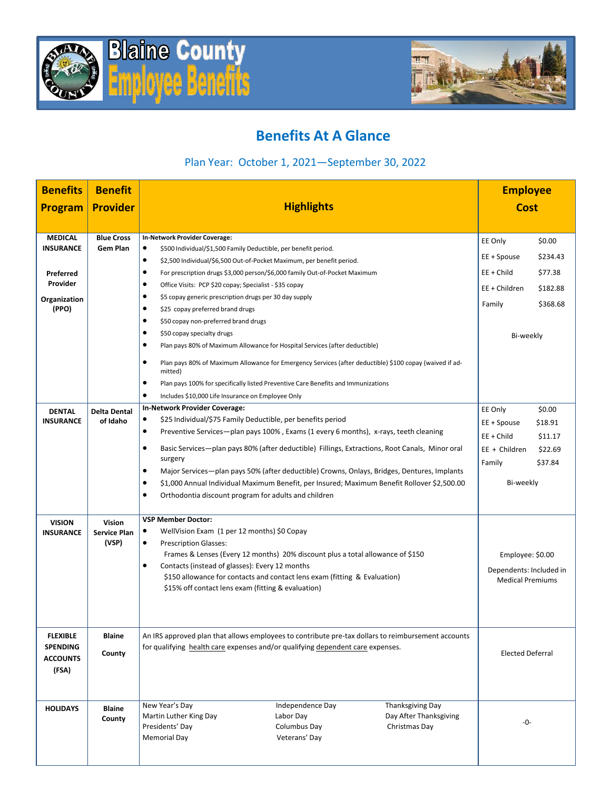



## **Benefits At A Glance**

## Plan Year: October 1, 2021—September 30, 2022

| <b>Benefits</b>                   | <b>Benefit</b>               |                                                                                                                |                                                                                                         | <b>Employee</b>                                   |                        |                                                    |  |
|-----------------------------------|------------------------------|----------------------------------------------------------------------------------------------------------------|---------------------------------------------------------------------------------------------------------|---------------------------------------------------|------------------------|----------------------------------------------------|--|
| <b>Program</b>                    | <b>Provider</b>              | <b>Highlights</b>                                                                                              |                                                                                                         | <b>Cost</b>                                       |                        |                                                    |  |
|                                   |                              |                                                                                                                |                                                                                                         |                                                   |                        |                                                    |  |
| <b>MEDICAL</b>                    | <b>Blue Cross</b>            | In-Network Provider Coverage:                                                                                  |                                                                                                         |                                                   | EE Only                | \$0.00                                             |  |
| <b>INSURANCE</b>                  | <b>Gem Plan</b>              | $\bullet$<br>\$500 Individual/\$1,500 Family Deductible, per benefit period.                                   |                                                                                                         |                                                   | EE + Spouse            | \$234.43                                           |  |
|                                   |                              | $\bullet$<br>\$2,500 Individual/\$6,500 Out-of-Pocket Maximum, per benefit period.                             |                                                                                                         |                                                   |                        |                                                    |  |
| Preferred<br>Provider             |                              | $\bullet$<br>For prescription drugs \$3,000 person/\$6,000 family Out-of-Pocket Maximum                        |                                                                                                         |                                                   | EE + Child             | \$77.38                                            |  |
|                                   |                              | $\bullet$<br>Office Visits: PCP \$20 copay; Specialist - \$35 copay<br>$\bullet$                               |                                                                                                         |                                                   | EE + Children          | \$182.88                                           |  |
| Organization<br>(PPO)             |                              | \$5 copay generic prescription drugs per 30 day supply<br>$\bullet$<br>\$25 copay preferred brand drugs        |                                                                                                         |                                                   | Family                 | \$368.68                                           |  |
|                                   |                              | $\bullet$<br>\$50 copay non-preferred brand drugs                                                              |                                                                                                         |                                                   |                        |                                                    |  |
|                                   |                              | $\bullet$<br>\$50 copay specialty drugs                                                                        |                                                                                                         |                                                   |                        |                                                    |  |
|                                   |                              | $\bullet$                                                                                                      | Plan pays 80% of Maximum Allowance for Hospital Services (after deductible)                             |                                                   |                        | Bi-weekly                                          |  |
|                                   |                              | ٠                                                                                                              | Plan pays 80% of Maximum Allowance for Emergency Services (after deductible) \$100 copay (waived if ad- |                                                   |                        |                                                    |  |
|                                   |                              | mitted)<br>$\bullet$                                                                                           |                                                                                                         |                                                   |                        |                                                    |  |
|                                   |                              | $\bullet$<br>Includes \$10,000 Life Insurance on Employee Only                                                 | Plan pays 100% for specifically listed Preventive Care Benefits and Immunizations                       |                                                   |                        |                                                    |  |
|                                   | <b>Delta Dental</b>          | In-Network Provider Coverage:                                                                                  |                                                                                                         |                                                   |                        | \$0.00                                             |  |
| <b>DENTAL</b><br><b>INSURANCE</b> | of Idaho                     | \$25 Individual/\$75 Family Deductible, per benefits period<br>٠                                               |                                                                                                         |                                                   | EE Only<br>EE + Spouse | \$18.91                                            |  |
|                                   |                              | $\bullet$<br>Preventive Services—plan pays 100%, Exams (1 every 6 months), x-rays, teeth cleaning              |                                                                                                         |                                                   | EE + Child             | \$11.17                                            |  |
|                                   |                              | Basic Services-plan pays 80% (after deductible) Fillings, Extractions, Root Canals, Minor oral<br>٠            |                                                                                                         |                                                   | EE + Children          | \$22.69                                            |  |
|                                   |                              | surgery                                                                                                        |                                                                                                         |                                                   | Family                 | \$37.84                                            |  |
|                                   |                              | $\bullet$<br>Major Services—plan pays 50% (after deductible) Crowns, Onlays, Bridges, Dentures, Implants       |                                                                                                         |                                                   |                        |                                                    |  |
|                                   |                              | $\bullet$<br>\$1,000 Annual Individual Maximum Benefit, per Insured; Maximum Benefit Rollover \$2,500.00       |                                                                                                         |                                                   | Bi-weekly              |                                                    |  |
|                                   |                              | $\bullet$<br>Orthodontia discount program for adults and children                                              |                                                                                                         |                                                   |                        |                                                    |  |
|                                   |                              |                                                                                                                |                                                                                                         |                                                   |                        |                                                    |  |
| <b>VISION</b>                     | Vision                       | <b>VSP Member Doctor:</b>                                                                                      |                                                                                                         |                                                   |                        |                                                    |  |
| <b>INSURANCE</b>                  | <b>Service Plan</b><br>(VSP) | WellVision Exam (1 per 12 months) \$0 Copay<br>٠<br>$\bullet$                                                  |                                                                                                         |                                                   |                        |                                                    |  |
|                                   |                              | <b>Prescription Glasses:</b><br>Frames & Lenses (Every 12 months) 20% discount plus a total allowance of \$150 |                                                                                                         |                                                   |                        | Employee: \$0.00                                   |  |
|                                   |                              | $\bullet$<br>Contacts (instead of glasses): Every 12 months                                                    |                                                                                                         |                                                   |                        |                                                    |  |
|                                   |                              |                                                                                                                | \$150 allowance for contacts and contact lens exam (fitting & Evaluation)                               |                                                   |                        | Dependents: Included in<br><b>Medical Premiums</b> |  |
|                                   |                              |                                                                                                                | \$15% off contact lens exam (fitting & evaluation)                                                      |                                                   |                        |                                                    |  |
|                                   |                              |                                                                                                                |                                                                                                         |                                                   |                        |                                                    |  |
|                                   |                              |                                                                                                                |                                                                                                         |                                                   |                        |                                                    |  |
| <b>FLEXIBLE</b>                   | <b>Blaine</b>                | An IRS approved plan that allows employees to contribute pre-tax dollars to reimbursement accounts             |                                                                                                         |                                                   |                        |                                                    |  |
| <b>SPENDING</b>                   |                              | for qualifying health care expenses and/or qualifying dependent care expenses.                                 |                                                                                                         |                                                   |                        |                                                    |  |
| <b>ACCOUNTS</b>                   | County                       |                                                                                                                |                                                                                                         |                                                   |                        | <b>Elected Deferral</b>                            |  |
| (FSA)                             |                              |                                                                                                                |                                                                                                         |                                                   |                        |                                                    |  |
|                                   |                              |                                                                                                                |                                                                                                         |                                                   |                        |                                                    |  |
|                                   |                              |                                                                                                                |                                                                                                         |                                                   |                        |                                                    |  |
| <b>HOLIDAYS</b>                   | <b>Blaine</b>                | New Year's Day<br>Martin Luther King Day                                                                       | Independence Day<br>Labor Day                                                                           | <b>Thanksgiving Day</b><br>Day After Thanksgiving |                        |                                                    |  |
|                                   | County                       | Presidents' Day                                                                                                | Columbus Day                                                                                            | Christmas Day                                     | -0-                    |                                                    |  |
|                                   |                              | <b>Memorial Day</b>                                                                                            | Veterans' Day                                                                                           |                                                   |                        |                                                    |  |
|                                   |                              |                                                                                                                |                                                                                                         |                                                   |                        |                                                    |  |
|                                   |                              |                                                                                                                |                                                                                                         |                                                   |                        |                                                    |  |